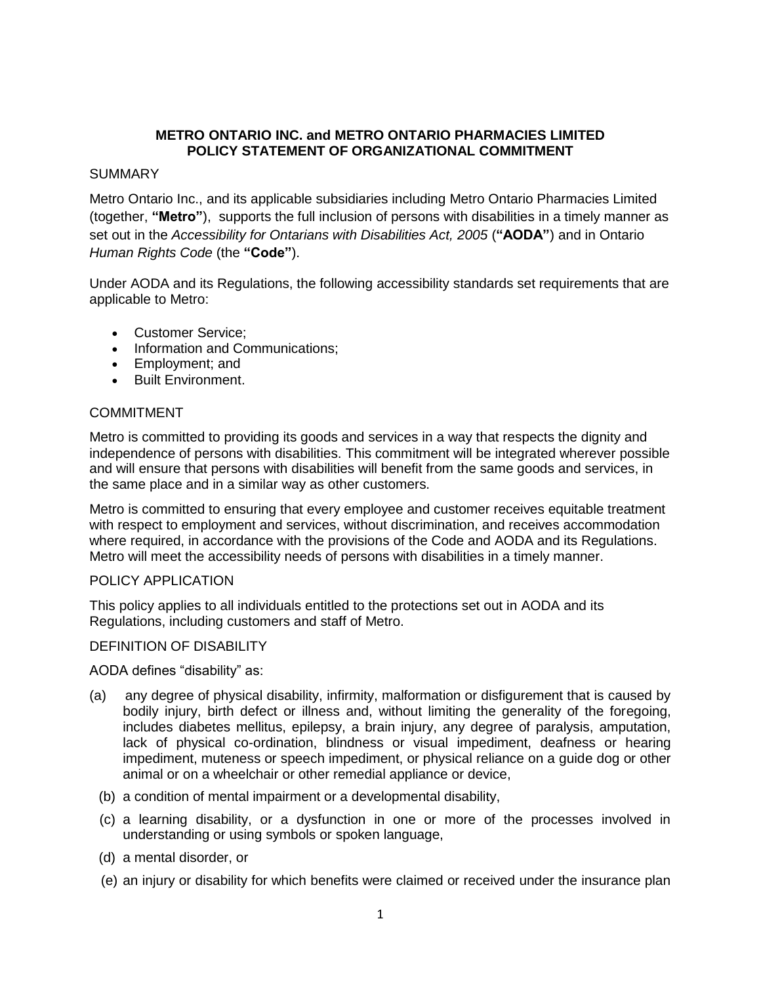# **METRO ONTARIO INC. and METRO ONTARIO PHARMACIES LIMITED POLICY STATEMENT OF ORGANIZATIONAL COMMITMENT**

## SUMMARY

Metro Ontario Inc., and its applicable subsidiaries including Metro Ontario Pharmacies Limited (together, **"Metro"**), supports the full inclusion of persons with disabilities in a timely manner as set out in the *Accessibility for Ontarians with Disabilities Act, 2005 ("AODA")* and in Ontario *Human Rights Code* (the **"Code"**).

Under AODA and its Regulations, the following accessibility standards set requirements that are applicable to Metro:

- **Customer Service:**
- Information and Communications;
- Employment; and
- Built Environment.

### COMMITMENT

Metro is committed to providing its goods and services in a way that respects the dignity and independence of persons with disabilities. This commitment will be integrated wherever possible and will ensure that persons with disabilities will benefit from the same goods and services, in the same place and in a similar way as other customers.

Metro is committed to ensuring that every employee and customer receives equitable treatment with respect to employment and services, without discrimination, and receives accommodation where required, in accordance with the provisions of the Code and AODA and its Regulations. Metro will meet the accessibility needs of persons with disabilities in a timely manner.

#### POLICY APPLICATION

This policy applies to all individuals entitled to the protections set out in AODA and its Regulations, including customers and staff of Metro.

#### DEFINITION OF DISABILITY

AODA defines "disability" as:

- (a) any degree of physical disability, infirmity, malformation or disfigurement that is caused by bodily injury, birth defect or illness and, without limiting the generality of the foregoing, includes diabetes mellitus, epilepsy, a brain injury, any degree of paralysis, amputation, lack of physical co-ordination, blindness or visual impediment, deafness or hearing impediment, muteness or speech impediment, or physical reliance on a guide dog or other animal or on a wheelchair or other remedial appliance or device,
	- (b) a condition of mental impairment or a developmental disability,
	- (c) a learning disability, or a dysfunction in one or more of the processes involved in understanding or using symbols or spoken language,
	- (d) a mental disorder, or
	- (e) an injury or disability for which benefits were claimed or received under the insurance plan